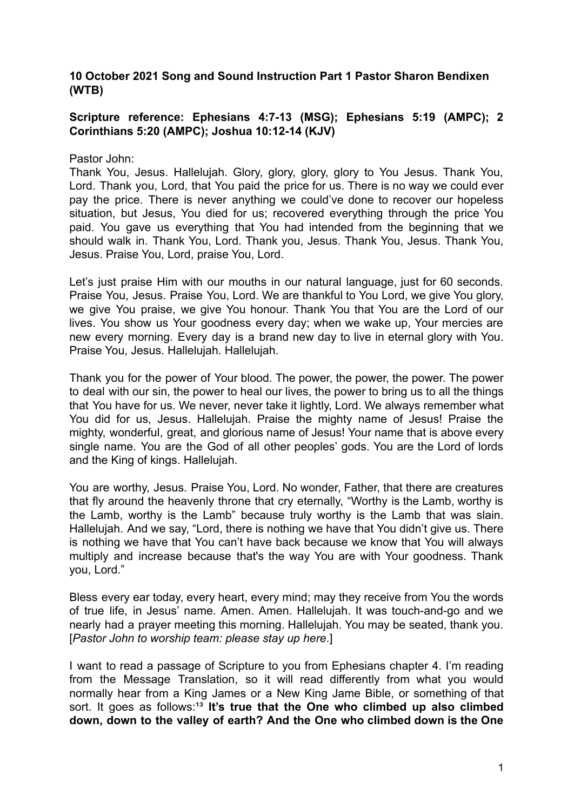# **10 October 2021 Song and Sound Instruction Part 1 Pastor Sharon Bendixen (WTB)**

# **Scripture reference: Ephesians 4:7-13 (MSG); Ephesians 5:19 (AMPC); 2 Corinthians 5:20 (AMPC); Joshua 10:12-14 (KJV)**

Pastor John:

Thank You, Jesus. Hallelujah. Glory, glory, glory, glory to You Jesus. Thank You, Lord. Thank you, Lord, that You paid the price for us. There is no way we could ever pay the price. There is never anything we could've done to recover our hopeless situation, but Jesus, You died for us; recovered everything through the price You paid. You gave us everything that You had intended from the beginning that we should walk in. Thank You, Lord. Thank you, Jesus. Thank You, Jesus. Thank You, Jesus. Praise You, Lord, praise You, Lord.

Let's just praise Him with our mouths in our natural language, just for 60 seconds. Praise You, Jesus. Praise You, Lord. We are thankful to You Lord, we give You glory, we give You praise, we give You honour. Thank You that You are the Lord of our lives. You show us Your goodness every day; when we wake up, Your mercies are new every morning. Every day is a brand new day to live in eternal glory with You. Praise You, Jesus. Hallelujah. Hallelujah.

Thank you for the power of Your blood. The power, the power, the power. The power to deal with our sin, the power to heal our lives, the power to bring us to all the things that You have for us. We never, never take it lightly, Lord. We always remember what You did for us, Jesus. Hallelujah. Praise the mighty name of Jesus! Praise the mighty, wonderful, great, and glorious name of Jesus! Your name that is above every single name. You are the God of all other peoples' gods. You are the Lord of lords and the King of kings. Hallelujah.

You are worthy, Jesus. Praise You, Lord. No wonder, Father, that there are creatures that fly around the heavenly throne that cry eternally, "Worthy is the Lamb, worthy is the Lamb, worthy is the Lamb" because truly worthy is the Lamb that was slain. Hallelujah. And we say, "Lord, there is nothing we have that You didn't give us. There is nothing we have that You can't have back because we know that You will always multiply and increase because that's the way You are with Your goodness. Thank you, Lord."

Bless every ear today, every heart, every mind; may they receive from You the words of true life, in Jesus' name. Amen. Amen. Hallelujah. It was touch-and-go and we nearly had a prayer meeting this morning. Hallelujah. You may be seated, thank you. [*Pastor John to worship team: please stay up here*.]

I want to read a passage of Scripture to you from Ephesians chapter 4. I'm reading from the Message Translation, so it will read differently from what you would normally hear from a King James or a New King Jame Bible, or something of that sort. It goes as follows:<sup>13</sup> It's true that the One who climbed up also climbed **down, down to the valley of earth? And the One who climbed down is the One**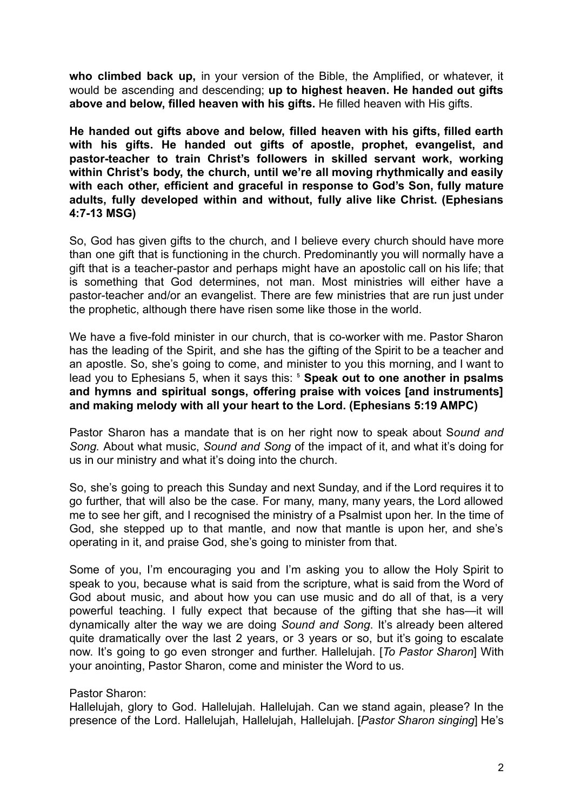**who climbed back up,** in your version of the Bible, the Amplified, or whatever, it would be ascending and descending; **up to highest heaven. He handed out gifts above and below, filled heaven with his gifts.** He filled heaven with His gifts.

**He handed out gifts above and below, filled heaven with his gifts, filled earth with his gifts. He handed out gifts of apostle, prophet, evangelist, and pastor-teacher to train Christ's followers in skilled servant work, working within Christ's body, the church, until we're all moving rhythmically and easily with each other, efficient and graceful in response to God's Son, fully mature adults, fully developed within and without, fully alive like Christ. (Ephesians 4:7-13 MSG)**

So, God has given gifts to the church, and I believe every church should have more than one gift that is functioning in the church. Predominantly you will normally have a gift that is a teacher-pastor and perhaps might have an apostolic call on his life; that is something that God determines, not man. Most ministries will either have a pastor-teacher and/or an evangelist. There are few ministries that are run just under the prophetic, although there have risen some like those in the world.

We have a five-fold minister in our church, that is co-worker with me. Pastor Sharon has the leading of the Spirit, and she has the gifting of the Spirit to be a teacher and an apostle. So, she's going to come, and minister to you this morning, and I want to lead you to Ephesians 5, when it says this: ⁵ **Speak out to one another in psalms and hymns and spiritual songs, offering praise with voices [and instruments] and making melody with all your heart to the Lord. (Ephesians 5:19 AMPC)**

Pastor Sharon has a mandate that is on her right now to speak about S*ound and Song.* About what music, *Sound and Song* of the impact of it, and what it's doing for us in our ministry and what it's doing into the church.

So, she's going to preach this Sunday and next Sunday, and if the Lord requires it to go further, that will also be the case. For many, many, many years, the Lord allowed me to see her gift, and I recognised the ministry of a Psalmist upon her. In the time of God, she stepped up to that mantle, and now that mantle is upon her, and she's operating in it, and praise God, she's going to minister from that.

Some of you, I'm encouraging you and I'm asking you to allow the Holy Spirit to speak to you, because what is said from the scripture, what is said from the Word of God about music, and about how you can use music and do all of that, is a very powerful teaching. I fully expect that because of the gifting that she has—it will dynamically alter the way we are doing *Sound and Song*. It's already been altered quite dramatically over the last 2 years, or 3 years or so, but it's going to escalate now. It's going to go even stronger and further. Hallelujah. [*To Pastor Sharon*] With your anointing, Pastor Sharon, come and minister the Word to us.

### Pastor Sharon:

Hallelujah, glory to God. Hallelujah. Hallelujah. Can we stand again, please? In the presence of the Lord. Hallelujah, Hallelujah, Hallelujah. [*Pastor Sharon singing*] He's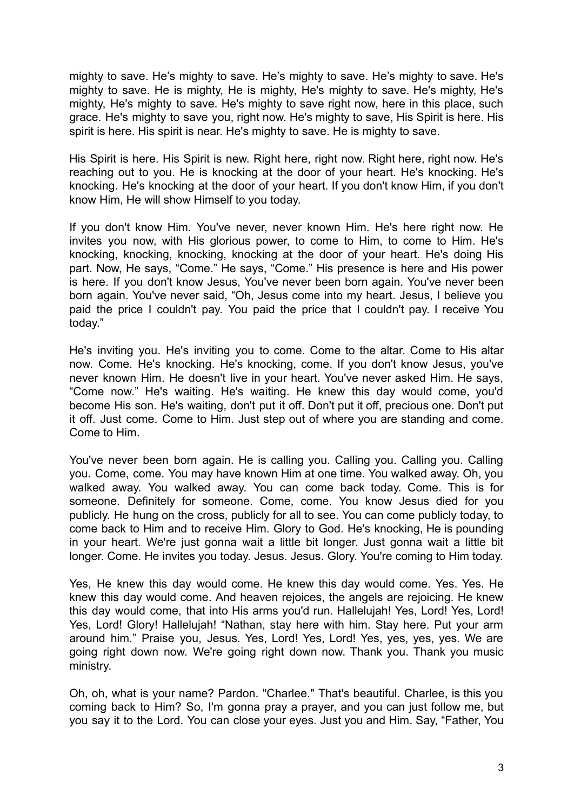mighty to save. He's mighty to save. He's mighty to save. He's mighty to save. He's mighty to save. He is mighty, He is mighty, He's mighty to save. He's mighty, He's mighty, He's mighty to save. He's mighty to save right now, here in this place, such grace. He's mighty to save you, right now. He's mighty to save, His Spirit is here. His spirit is here. His spirit is near. He's mighty to save. He is mighty to save.

His Spirit is here. His Spirit is new. Right here, right now. Right here, right now. He's reaching out to you. He is knocking at the door of your heart. He's knocking. He's knocking. He's knocking at the door of your heart. If you don't know Him, if you don't know Him, He will show Himself to you today.

If you don't know Him. You've never, never known Him. He's here right now. He invites you now, with His glorious power, to come to Him, to come to Him. He's knocking, knocking, knocking, knocking at the door of your heart. He's doing His part. Now, He says, "Come." He says, "Come." His presence is here and His power is here. If you don't know Jesus, You've never been born again. You've never been born again. You've never said, "Oh, Jesus come into my heart. Jesus, I believe you paid the price I couldn't pay. You paid the price that I couldn't pay. I receive You today."

He's inviting you. He's inviting you to come. Come to the altar. Come to His altar now. Come. He's knocking. He's knocking, come. If you don't know Jesus, you've never known Him. He doesn't live in your heart. You've never asked Him. He says, "Come now." He's waiting. He's waiting. He knew this day would come, you'd become His son. He's waiting, don't put it off. Don't put it off, precious one. Don't put it off. Just come. Come to Him. Just step out of where you are standing and come. Come to Him.

You've never been born again. He is calling you. Calling you. Calling you. Calling you. Come, come. You may have known Him at one time. You walked away. Oh, you walked away. You walked away. You can come back today. Come. This is for someone. Definitely for someone. Come, come. You know Jesus died for you publicly. He hung on the cross, publicly for all to see. You can come publicly today, to come back to Him and to receive Him. Glory to God. He's knocking, He is pounding in your heart. We're just gonna wait a little bit longer. Just gonna wait a little bit longer. Come. He invites you today. Jesus. Jesus. Glory. You're coming to Him today.

Yes, He knew this day would come. He knew this day would come. Yes. Yes. He knew this day would come. And heaven rejoices, the angels are rejoicing. He knew this day would come, that into His arms you'd run. Hallelujah! Yes, Lord! Yes, Lord! Yes, Lord! Glory! Hallelujah! "Nathan, stay here with him. Stay here. Put your arm around him." Praise you, Jesus. Yes, Lord! Yes, Lord! Yes, yes, yes, yes. We are going right down now. We're going right down now. Thank you. Thank you music ministry.

Oh, oh, what is your name? Pardon. "Charlee." That's beautiful. Charlee, is this you coming back to Him? So, I'm gonna pray a prayer, and you can just follow me, but you say it to the Lord. You can close your eyes. Just you and Him. Say, "Father, You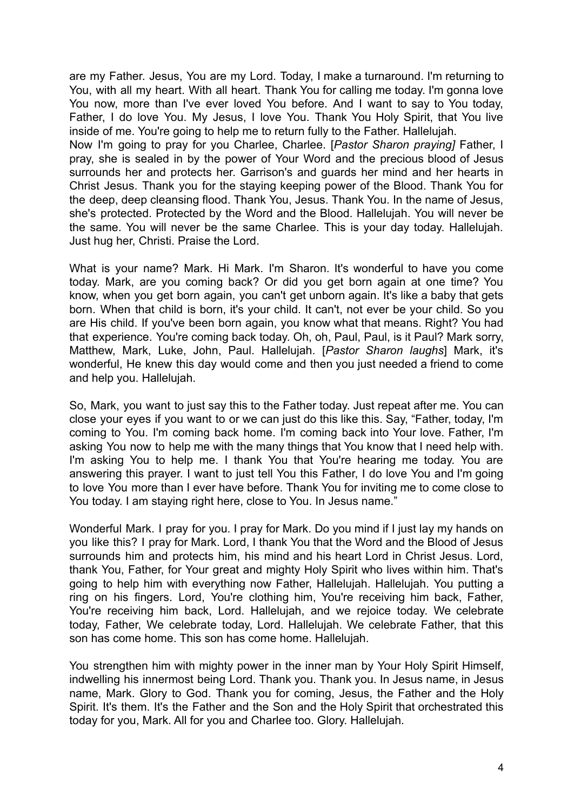are my Father. Jesus, You are my Lord. Today, I make a turnaround. I'm returning to You, with all my heart. With all heart. Thank You for calling me today. I'm gonna love You now, more than I've ever loved You before. And I want to say to You today, Father, I do love You. My Jesus, I love You. Thank You Holy Spirit, that You live inside of me. You're going to help me to return fully to the Father. Hallelujah.

Now I'm going to pray for you Charlee, Charlee. [*Pastor Sharon praying]* Father, I pray, she is sealed in by the power of Your Word and the precious blood of Jesus surrounds her and protects her. Garrison's and guards her mind and her hearts in Christ Jesus. Thank you for the staying keeping power of the Blood. Thank You for the deep, deep cleansing flood. Thank You, Jesus. Thank You. In the name of Jesus, she's protected. Protected by the Word and the Blood. Hallelujah. You will never be the same. You will never be the same Charlee. This is your day today. Hallelujah. Just hug her, Christi. Praise the Lord.

What is your name? Mark. Hi Mark. I'm Sharon. It's wonderful to have you come today. Mark, are you coming back? Or did you get born again at one time? You know, when you get born again, you can't get unborn again. It's like a baby that gets born. When that child is born, it's your child. It can't, not ever be your child. So you are His child. If you've been born again, you know what that means. Right? You had that experience. You're coming back today. Oh, oh, Paul, Paul, is it Paul? Mark sorry, Matthew, Mark, Luke, John, Paul. Hallelujah. [*Pastor Sharon laughs*] Mark, it's wonderful, He knew this day would come and then you just needed a friend to come and help you. Hallelujah.

So, Mark, you want to just say this to the Father today. Just repeat after me. You can close your eyes if you want to or we can just do this like this. Say, "Father, today, I'm coming to You. I'm coming back home. I'm coming back into Your love. Father, I'm asking You now to help me with the many things that You know that I need help with. I'm asking You to help me. I thank You that You're hearing me today. You are answering this prayer. I want to just tell You this Father, I do love You and I'm going to love You more than I ever have before. Thank You for inviting me to come close to You today. I am staying right here, close to You. In Jesus name."

Wonderful Mark. I pray for you. I pray for Mark. Do you mind if I just lay my hands on you like this? I pray for Mark. Lord, I thank You that the Word and the Blood of Jesus surrounds him and protects him, his mind and his heart Lord in Christ Jesus. Lord, thank You, Father, for Your great and mighty Holy Spirit who lives within him. That's going to help him with everything now Father, Hallelujah. Hallelujah. You putting a ring on his fingers. Lord, You're clothing him, You're receiving him back, Father, You're receiving him back, Lord. Hallelujah, and we rejoice today. We celebrate today, Father, We celebrate today, Lord. Hallelujah. We celebrate Father, that this son has come home. This son has come home. Hallelujah.

You strengthen him with mighty power in the inner man by Your Holy Spirit Himself, indwelling his innermost being Lord. Thank you. Thank you. In Jesus name, in Jesus name, Mark. Glory to God. Thank you for coming, Jesus, the Father and the Holy Spirit. It's them. It's the Father and the Son and the Holy Spirit that orchestrated this today for you, Mark. All for you and Charlee too. Glory. Hallelujah.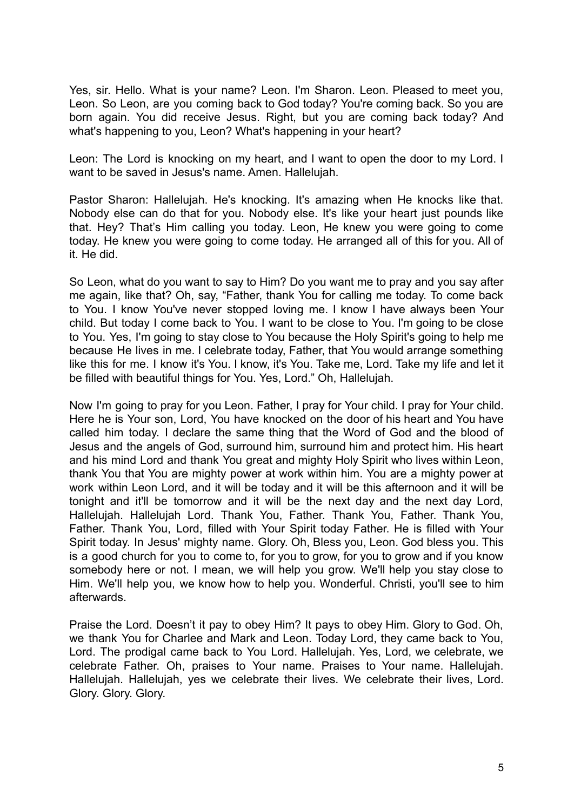Yes, sir. Hello. What is your name? Leon. I'm Sharon. Leon. Pleased to meet you, Leon. So Leon, are you coming back to God today? You're coming back. So you are born again. You did receive Jesus. Right, but you are coming back today? And what's happening to you, Leon? What's happening in your heart?

Leon: The Lord is knocking on my heart, and I want to open the door to my Lord. I want to be saved in Jesus's name. Amen. Hallelujah.

Pastor Sharon: Hallelujah. He's knocking. It's amazing when He knocks like that. Nobody else can do that for you. Nobody else. It's like your heart just pounds like that. Hey? That's Him calling you today. Leon, He knew you were going to come today. He knew you were going to come today. He arranged all of this for you. All of it. He did.

So Leon, what do you want to say to Him? Do you want me to pray and you say after me again, like that? Oh, say, "Father, thank You for calling me today. To come back to You. I know You've never stopped loving me. I know I have always been Your child. But today I come back to You. I want to be close to You. I'm going to be close to You. Yes, I'm going to stay close to You because the Holy Spirit's going to help me because He lives in me. I celebrate today, Father, that You would arrange something like this for me. I know it's You. I know, it's You. Take me, Lord. Take my life and let it be filled with beautiful things for You. Yes, Lord." Oh, Hallelujah.

Now I'm going to pray for you Leon. Father, I pray for Your child. I pray for Your child. Here he is Your son, Lord, You have knocked on the door of his heart and You have called him today. I declare the same thing that the Word of God and the blood of Jesus and the angels of God, surround him, surround him and protect him. His heart and his mind Lord and thank You great and mighty Holy Spirit who lives within Leon, thank You that You are mighty power at work within him. You are a mighty power at work within Leon Lord, and it will be today and it will be this afternoon and it will be tonight and it'll be tomorrow and it will be the next day and the next day Lord, Hallelujah. Hallelujah Lord. Thank You, Father. Thank You, Father. Thank You, Father. Thank You, Lord, filled with Your Spirit today Father. He is filled with Your Spirit today. In Jesus' mighty name. Glory. Oh, Bless you, Leon. God bless you. This is a good church for you to come to, for you to grow, for you to grow and if you know somebody here or not. I mean, we will help you grow. We'll help you stay close to Him. We'll help you, we know how to help you. Wonderful. Christi, you'll see to him afterwards.

Praise the Lord. Doesn't it pay to obey Him? It pays to obey Him. Glory to God. Oh, we thank You for Charlee and Mark and Leon. Today Lord, they came back to You, Lord. The prodigal came back to You Lord. Hallelujah. Yes, Lord, we celebrate, we celebrate Father. Oh, praises to Your name. Praises to Your name. Hallelujah. Hallelujah. Hallelujah, yes we celebrate their lives. We celebrate their lives, Lord. Glory. Glory. Glory.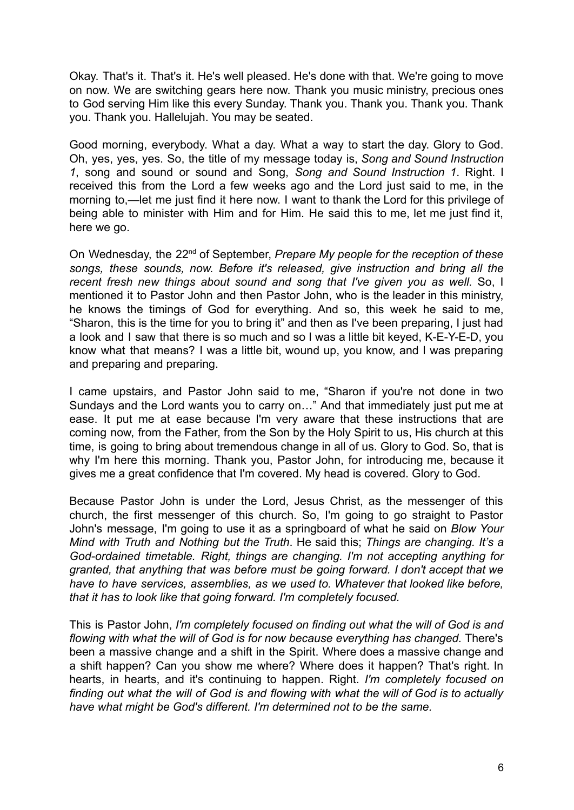Okay. That's it. That's it. He's well pleased. He's done with that. We're going to move on now. We are switching gears here now. Thank you music ministry, precious ones to God serving Him like this every Sunday. Thank you. Thank you. Thank you. Thank you. Thank you. Hallelujah. You may be seated.

Good morning, everybody. What a day. What a way to start the day. Glory to God. Oh, yes, yes, yes. So, the title of my message today is, *Song and Sound Instruction 1*, song and sound or sound and Song, *Song and Sound Instruction 1*. Right. I received this from the Lord a few weeks ago and the Lord just said to me, in the morning to,—let me just find it here now. I want to thank the Lord for this privilege of being able to minister with Him and for Him. He said this to me, let me just find it, here we go.

On Wednesday, the 22nd of September, *Prepare My people for the reception of these songs, these sounds, now. Before it's released, give instruction and bring all the recent fresh new things about sound and song that I've given you as well.* So, I mentioned it to Pastor John and then Pastor John, who is the leader in this ministry, he knows the timings of God for everything. And so, this week he said to me, "Sharon, this is the time for you to bring it" and then as I've been preparing, I just had a look and I saw that there is so much and so I was a little bit keyed, K-E-Y-E-D, you know what that means? I was a little bit, wound up, you know, and I was preparing and preparing and preparing.

I came upstairs, and Pastor John said to me, "Sharon if you're not done in two Sundays and the Lord wants you to carry on…" And that immediately just put me at ease. It put me at ease because I'm very aware that these instructions that are coming now, from the Father, from the Son by the Holy Spirit to us, His church at this time, is going to bring about tremendous change in all of us. Glory to God. So, that is why I'm here this morning. Thank you, Pastor John, for introducing me, because it gives me a great confidence that I'm covered. My head is covered. Glory to God.

Because Pastor John is under the Lord, Jesus Christ, as the messenger of this church, the first messenger of this church. So, I'm going to go straight to Pastor John's message, I'm going to use it as a springboard of what he said on *Blow Your Mind with Truth and Nothing but the Truth*. He said this; *Things are changing. It's a God-ordained timetable. Right, things are changing. I'm not accepting anything for granted, that anything that was before must be going forward. I don't accept that we have to have services, assemblies, as we used to. Whatever that looked like before, that it has to look like that going forward. I'm completely focused.*

This is Pastor John, *I'm completely focused on finding out what the will of God is and flowing with what the will of God is for now because everything has changed.* There's been a massive change and a shift in the Spirit. Where does a massive change and a shift happen? Can you show me where? Where does it happen? That's right. In hearts, in hearts, and it's continuing to happen. Right. *I'm completely focused on finding out what the will of God is and flowing with what the will of God is to actually have what might be God's different. I'm determined not to be the same.*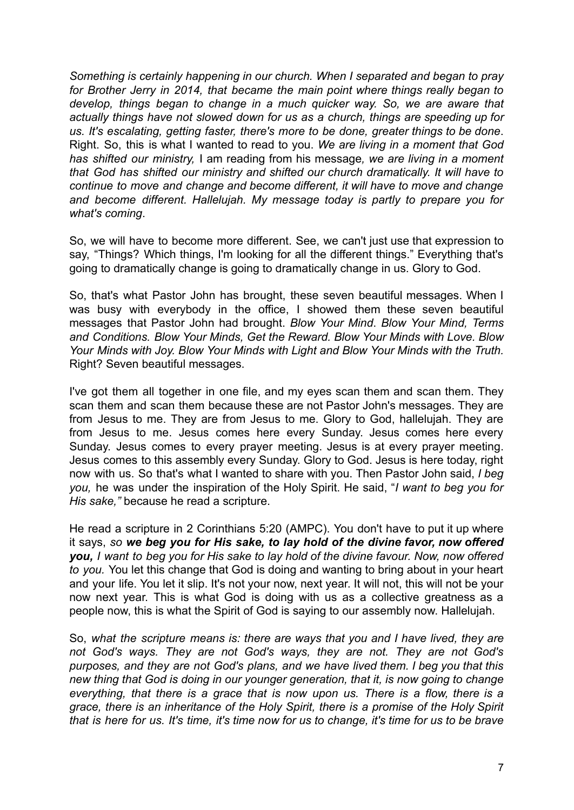*Something is certainly happening in our church. When I separated and began to pray for Brother Jerry in 2014, that became the main point where things really began to develop, things began to change in a much quicker way. So, we are aware that actually things have not slowed down for us as a church, things are speeding up for us. It's escalating, getting faster, there's more to be done, greater things to be done*. Right. So, this is what I wanted to read to you. *We are living in a moment that God has shifted our ministry,* I am reading from his message*, we are living in a moment that God has shifted our ministry and shifted our church dramatically. It will have to continue to move and change and become different, it will have to move and change and become different. Hallelujah. My message today is partly to prepare you for what's coming*.

So, we will have to become more different. See, we can't just use that expression to say, "Things? Which things, I'm looking for all the different things." Everything that's going to dramatically change is going to dramatically change in us. Glory to God.

So, that's what Pastor John has brought, these seven beautiful messages. When I was busy with everybody in the office, I showed them these seven beautiful messages that Pastor John had brought. *Blow Your Mind*. *Blow Your Mind, Terms and Conditions. Blow Your Minds, Get the Reward. Blow Your Minds with Love. Blow Your Minds with Joy. Blow Your Minds with Light and Blow Your Minds with the Truth.* Right? Seven beautiful messages.

I've got them all together in one file, and my eyes scan them and scan them. They scan them and scan them because these are not Pastor John's messages. They are from Jesus to me. They are from Jesus to me. Glory to God, hallelujah. They are from Jesus to me. Jesus comes here every Sunday. Jesus comes here every Sunday. Jesus comes to every prayer meeting. Jesus is at every prayer meeting. Jesus comes to this assembly every Sunday. Glory to God. Jesus is here today, right now with us. So that's what I wanted to share with you. Then Pastor John said, *I beg you,* he was under the inspiration of the Holy Spirit. He said, "*I want to beg you for His sake,"* because he read a scripture.

He read a scripture in 2 Corinthians 5:20 (AMPC). You don't have to put it up where it says, *so we beg you for His sake, to lay hold of the divine favor, now offered you, I want to beg you for His sake to lay hold of the divine favour. Now, now offered to you.* You let this change that God is doing and wanting to bring about in your heart and your life. You let it slip. It's not your now, next year. It will not, this will not be your now next year. This is what God is doing with us as a collective greatness as a people now, this is what the Spirit of God is saying to our assembly now. Hallelujah.

So, *what the scripture means is: there are ways that you and I have lived, they are not God's ways. They are not God's ways, they are not. They are not God's purposes, and they are not God's plans, and we have lived them. I beg you that this new thing that God is doing in our younger generation, that it, is now going to change everything, that there is a grace that is now upon us. There is a flow, there is a grace, there is an inheritance of the Holy Spirit, there is a promise of the Holy Spirit* that is here for us. It's time, it's time now for us to change, it's time for us to be brave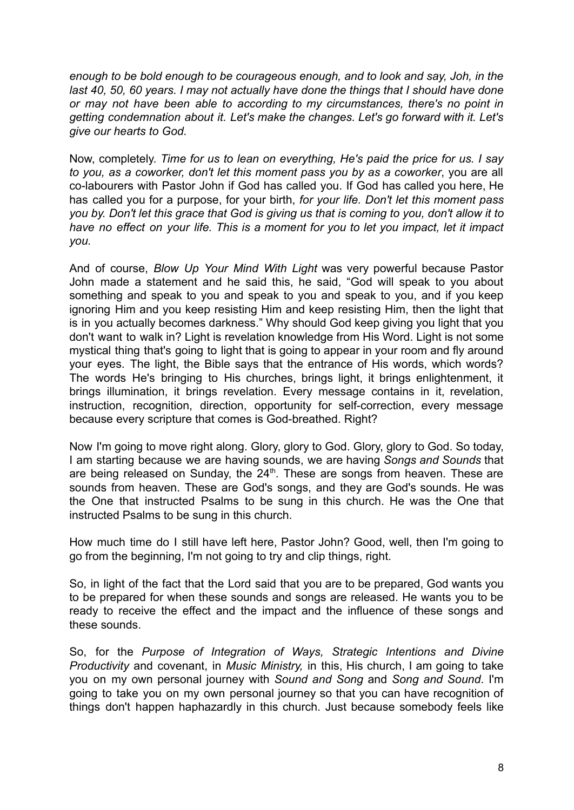*enough to be bold enough to be courageous enough, and to look and say, Joh, in the last 40, 50, 60 years. I may not actually have done the things that I should have done or may not have been able to according to my circumstances, there's no point in getting condemnation about it. Let's make the changes. Let's go forward with it. Let's give our hearts to God.*

Now, completely. *Time for us to lean on everything, He's paid the price for us. I say to you, as a coworker, don't let this moment pass you by as a coworker*, you are all co-labourers with Pastor John if God has called you. If God has called you here, He has called you for a purpose, for your birth, *for your life. Don't let this moment pass* you by. Don't let this grace that God is giving us that is coming to you, don't allow it to *have no effect on your life. This is a moment for you to let you impact, let it impact you.*

And of course, *Blow Up Your Mind With Light* was very powerful because Pastor John made a statement and he said this, he said, "God will speak to you about something and speak to you and speak to you and speak to you, and if you keep ignoring Him and you keep resisting Him and keep resisting Him, then the light that is in you actually becomes darkness." Why should God keep giving you light that you don't want to walk in? Light is revelation knowledge from His Word. Light is not some mystical thing that's going to light that is going to appear in your room and fly around your eyes. The light, the Bible says that the entrance of His words, which words? The words He's bringing to His churches, brings light, it brings enlightenment, it brings illumination, it brings revelation. Every message contains in it, revelation, instruction, recognition, direction, opportunity for self-correction, every message because every scripture that comes is God-breathed. Right?

Now I'm going to move right along. Glory, glory to God. Glory, glory to God. So today, I am starting because we are having sounds, we are having *Songs and Sounds* that are being released on Sunday, the  $24<sup>th</sup>$ . These are songs from heaven. These are sounds from heaven. These are God's songs, and they are God's sounds. He was the One that instructed Psalms to be sung in this church. He was the One that instructed Psalms to be sung in this church.

How much time do I still have left here, Pastor John? Good, well, then I'm going to go from the beginning, I'm not going to try and clip things, right.

So, in light of the fact that the Lord said that you are to be prepared, God wants you to be prepared for when these sounds and songs are released. He wants you to be ready to receive the effect and the impact and the influence of these songs and these sounds.

So, for the *Purpose of Integration of Ways, Strategic Intentions and Divine Productivity* and covenant, in *Music Ministry,* in this, His church, I am going to take you on my own personal journey with *Sound and Song* and *Song and Sound*. I'm going to take you on my own personal journey so that you can have recognition of things don't happen haphazardly in this church. Just because somebody feels like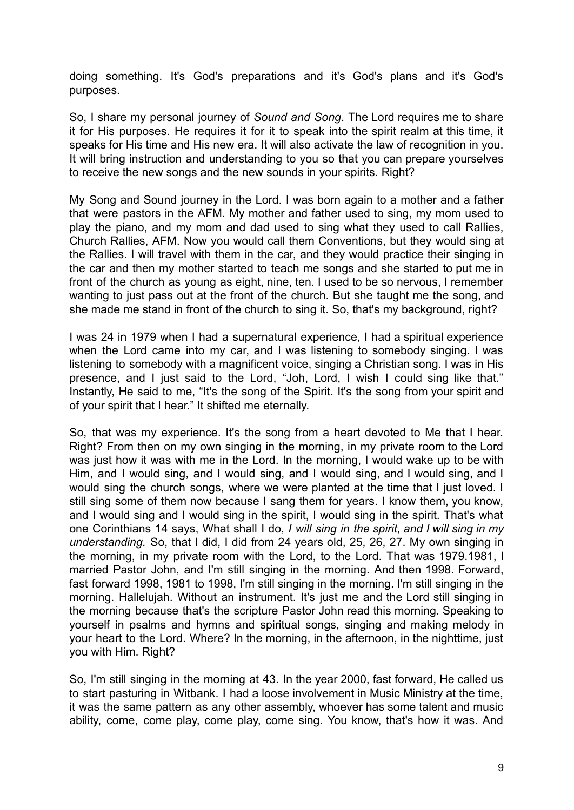doing something. It's God's preparations and it's God's plans and it's God's purposes.

So, I share my personal journey of *Sound and Song*. The Lord requires me to share it for His purposes. He requires it for it to speak into the spirit realm at this time, it speaks for His time and His new era. It will also activate the law of recognition in you. It will bring instruction and understanding to you so that you can prepare yourselves to receive the new songs and the new sounds in your spirits. Right?

My Song and Sound journey in the Lord. I was born again to a mother and a father that were pastors in the AFM. My mother and father used to sing, my mom used to play the piano, and my mom and dad used to sing what they used to call Rallies, Church Rallies, AFM. Now you would call them Conventions, but they would sing at the Rallies. I will travel with them in the car, and they would practice their singing in the car and then my mother started to teach me songs and she started to put me in front of the church as young as eight, nine, ten. I used to be so nervous, I remember wanting to just pass out at the front of the church. But she taught me the song, and she made me stand in front of the church to sing it. So, that's my background, right?

I was 24 in 1979 when I had a supernatural experience, I had a spiritual experience when the Lord came into my car, and I was listening to somebody singing. I was listening to somebody with a magnificent voice, singing a Christian song. I was in His presence, and I just said to the Lord, "Joh, Lord, I wish I could sing like that." Instantly, He said to me, "It's the song of the Spirit. It's the song from your spirit and of your spirit that I hear." It shifted me eternally.

So, that was my experience. It's the song from a heart devoted to Me that I hear. Right? From then on my own singing in the morning, in my private room to the Lord was just how it was with me in the Lord. In the morning, I would wake up to be with Him, and I would sing, and I would sing, and I would sing, and I would sing, and I would sing the church songs, where we were planted at the time that I just loved. I still sing some of them now because I sang them for years. I know them, you know, and I would sing and I would sing in the spirit, I would sing in the spirit. That's what one Corinthians 14 says, What shall I do, *I will sing in the spirit, and I will sing in my understanding.* So, that I did, I did from 24 years old, 25, 26, 27. My own singing in the morning, in my private room with the Lord, to the Lord. That was 1979.1981, I married Pastor John, and I'm still singing in the morning. And then 1998. Forward, fast forward 1998, 1981 to 1998, I'm still singing in the morning. I'm still singing in the morning. Hallelujah. Without an instrument. It's just me and the Lord still singing in the morning because that's the scripture Pastor John read this morning. Speaking to yourself in psalms and hymns and spiritual songs, singing and making melody in your heart to the Lord. Where? In the morning, in the afternoon, in the nighttime, just you with Him. Right?

So, I'm still singing in the morning at 43. In the year 2000, fast forward, He called us to start pasturing in Witbank. I had a loose involvement in Music Ministry at the time, it was the same pattern as any other assembly, whoever has some talent and music ability, come, come play, come play, come sing. You know, that's how it was. And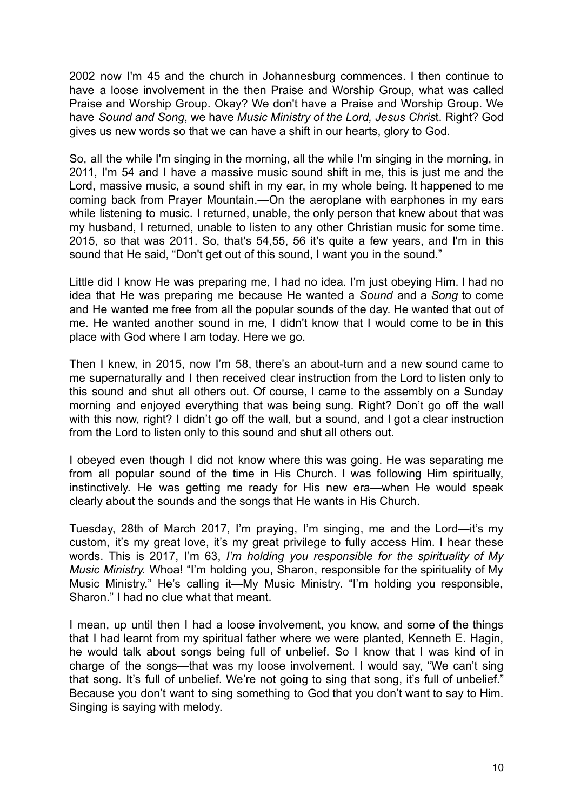2002 now I'm 45 and the church in Johannesburg commences. I then continue to have a loose involvement in the then Praise and Worship Group, what was called Praise and Worship Group. Okay? We don't have a Praise and Worship Group. We have *Sound and Song*, we have *Music Ministry of the Lord, Jesus Chris*t. Right? God gives us new words so that we can have a shift in our hearts, glory to God.

So, all the while I'm singing in the morning, all the while I'm singing in the morning, in 2011, I'm 54 and I have a massive music sound shift in me, this is just me and the Lord, massive music, a sound shift in my ear, in my whole being. It happened to me coming back from Prayer Mountain.—On the aeroplane with earphones in my ears while listening to music. I returned, unable, the only person that knew about that was my husband, I returned, unable to listen to any other Christian music for some time. 2015, so that was 2011. So, that's 54,55, 56 it's quite a few years, and I'm in this sound that He said, "Don't get out of this sound, I want you in the sound."

Little did I know He was preparing me, I had no idea. I'm just obeying Him. I had no idea that He was preparing me because He wanted a *Sound* and a *Song* to come and He wanted me free from all the popular sounds of the day. He wanted that out of me. He wanted another sound in me, I didn't know that I would come to be in this place with God where I am today. Here we go.

Then I knew, in 2015, now I'm 58, there's an about-turn and a new sound came to me supernaturally and I then received clear instruction from the Lord to listen only to this sound and shut all others out. Of course, I came to the assembly on a Sunday morning and enjoyed everything that was being sung. Right? Don't go off the wall with this now, right? I didn't go off the wall, but a sound, and I got a clear instruction from the Lord to listen only to this sound and shut all others out.

I obeyed even though I did not know where this was going. He was separating me from all popular sound of the time in His Church. I was following Him spiritually, instinctively. He was getting me ready for His new era—when He would speak clearly about the sounds and the songs that He wants in His Church.

Tuesday, 28th of March 2017, I'm praying, I'm singing, me and the Lord—it's my custom, it's my great love, it's my great privilege to fully access Him. I hear these words. This is 2017, I'm 63, *I'm holding you responsible for the spirituality of My Music Ministry.* Whoa! "I'm holding you, Sharon, responsible for the spirituality of My Music Ministry." He's calling it—My Music Ministry. "I'm holding you responsible, Sharon." I had no clue what that meant.

I mean, up until then I had a loose involvement, you know, and some of the things that I had learnt from my spiritual father where we were planted, Kenneth E. Hagin, he would talk about songs being full of unbelief. So I know that I was kind of in charge of the songs—that was my loose involvement. I would say, "We can't sing that song. It's full of unbelief. We're not going to sing that song, it's full of unbelief." Because you don't want to sing something to God that you don't want to say to Him. Singing is saying with melody.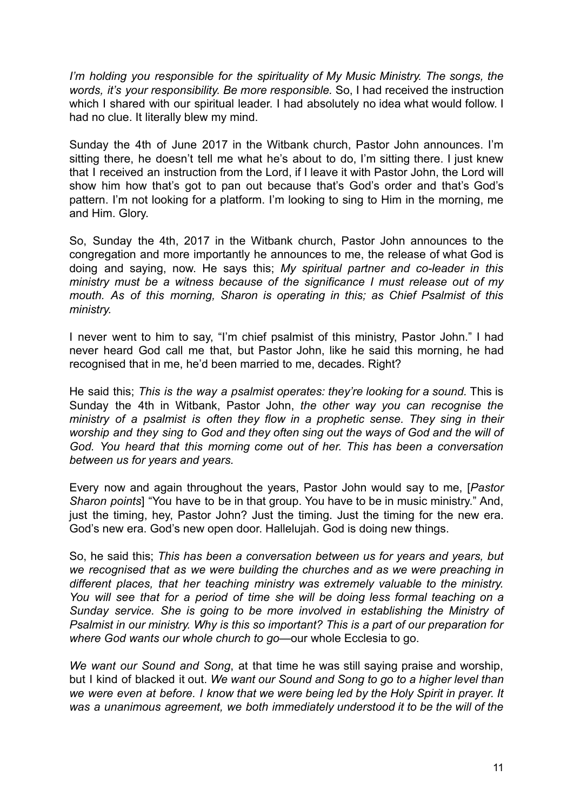*I'm holding you responsible for the spirituality of My Music Ministry. The songs, the words, it's your responsibility. Be more responsible.* So, I had received the instruction which I shared with our spiritual leader. I had absolutely no idea what would follow. I had no clue. It literally blew my mind.

Sunday the 4th of June 2017 in the Witbank church, Pastor John announces. I'm sitting there, he doesn't tell me what he's about to do. I'm sitting there. I just knew that I received an instruction from the Lord, if I leave it with Pastor John, the Lord will show him how that's got to pan out because that's God's order and that's God's pattern. I'm not looking for a platform. I'm looking to sing to Him in the morning, me and Him. Glory.

So, Sunday the 4th, 2017 in the Witbank church, Pastor John announces to the congregation and more importantly he announces to me, the release of what God is doing and saying, now. He says this; *My spiritual partner and co-leader in this ministry must be a witness because of the significance I must release out of my mouth. As of this morning, Sharon is operating in this; as Chief Psalmist of this ministry.*

I never went to him to say, "I'm chief psalmist of this ministry, Pastor John." I had never heard God call me that, but Pastor John, like he said this morning, he had recognised that in me, he'd been married to me, decades. Right?

He said this; *This is the way a psalmist operates: they're looking for a sound.* This is Sunday the 4th in Witbank, Pastor John, *the other way you can recognise the ministry of a psalmist is often they flow in a prophetic sense. They sing in their worship and they sing to God and they often sing out the ways of God and the will of God. You heard that this morning come out of her. This has been a conversation between us for years and years.*

Every now and again throughout the years, Pastor John would say to me, [*Pastor Sharon points*] "You have to be in that group. You have to be in music ministry." And, just the timing, hey, Pastor John? Just the timing. Just the timing for the new era. God's new era. God's new open door. Hallelujah. God is doing new things.

So, he said this; *This has been a conversation between us for years and years, but we recognised that as we were building the churches and as we were preaching in different places, that her teaching ministry was extremely valuable to the ministry. You will see that for a period of time she will be doing less formal teaching on a Sunday service. She is going to be more involved in establishing the Ministry of Psalmist in our ministry. Why is this so important? This is a part of our preparation for where God wants our whole church to go*—our whole Ecclesia to go.

*We want our Sound and Song*, at that time he was still saying praise and worship, but I kind of blacked it out. *We want our Sound and Song to go to a higher level than we were even at before. I know that we were being led by the Holy Spirit in prayer. It was a unanimous agreement, we both immediately understood it to be the will of the*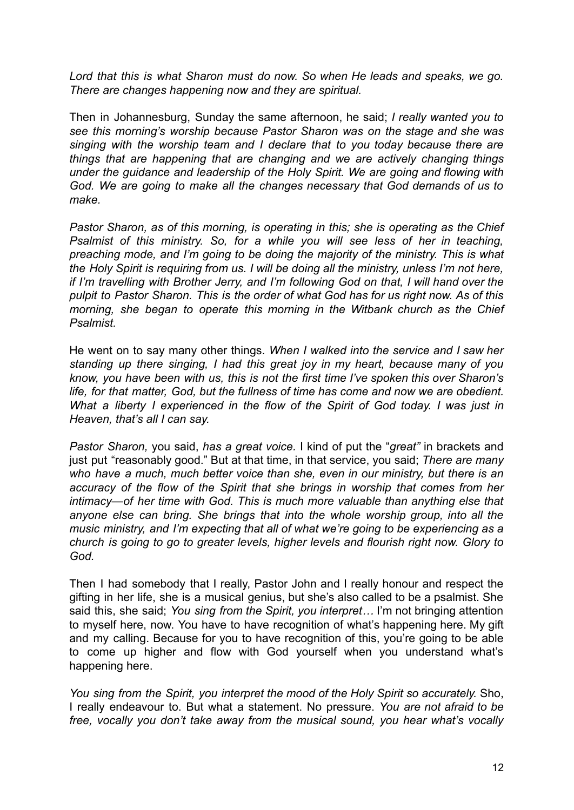*Lord that this is what Sharon must do now. So when He leads and speaks, we go. There are changes happening now and they are spiritual.*

Then in Johannesburg, Sunday the same afternoon, he said; *I really wanted you to see this morning's worship because Pastor Sharon was on the stage and she was singing with the worship team and I declare that to you today because there are things that are happening that are changing and we are actively changing things under the guidance and leadership of the Holy Spirit. We are going and flowing with God. We are going to make all the changes necessary that God demands of us to make.*

*Pastor Sharon, as of this morning, is operating in this; she is operating as the Chief Psalmist of this ministry. So, for a while you will see less of her in teaching, preaching mode, and I'm going to be doing the majority of the ministry. This is what the Holy Spirit is requiring from us. I will be doing all the ministry, unless I'm not here, if I'm travelling with Brother Jerry, and I'm following God on that, I will hand over the pulpit to Pastor Sharon. This is the order of what God has for us right now. As of this morning, she began to operate this morning in the Witbank church as the Chief Psalmist.*

He went on to say many other things. *When I walked into the service and I saw her standing up there singing, I had this great joy in my heart, because many of you know, you have been with us, this is not the first time I've spoken this over Sharon's life, for that matter, God, but the fullness of time has come and now we are obedient. What a liberty I experienced in the flow of the Spirit of God today. I was just in Heaven, that's all I can say.*

*Pastor Sharon,* you said, *has a great voice.* I kind of put the "*great"* in brackets and just put "reasonably good." But at that time, in that service, you said; *There are many who have a much, much better voice than she, even in our ministry, but there is an accuracy of the flow of the Spirit that she brings in worship that comes from her intimacy*—*of her time with God. This is much more valuable than anything else that anyone else can bring. She brings that into the whole worship group, into all the music ministry, and I'm expecting that all of what we're going to be experiencing as a church is going to go to greater levels, higher levels and flourish right now. Glory to God.*

Then I had somebody that I really, Pastor John and I really honour and respect the gifting in her life, she is a musical genius, but she's also called to be a psalmist. She said this, she said; *You sing from the Spirit, you interpret…* I'm not bringing attention to myself here, now. You have to have recognition of what's happening here. My gift and my calling. Because for you to have recognition of this, you're going to be able to come up higher and flow with God yourself when you understand what's happening here.

*You sing from the Spirit, you interpret the mood of the Holy Spirit so accurately.* Sho, I really endeavour to. But what a statement. No pressure. *You are not afraid to be free, vocally you don't take away from the musical sound, you hear what's vocally*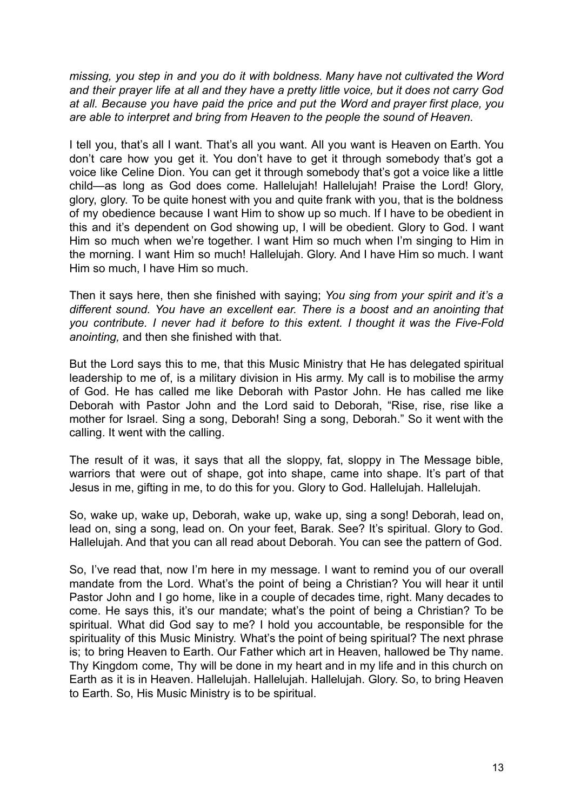*missing, you step in and you do it with boldness. Many have not cultivated the Word and their prayer life at all and they have a pretty little voice, but it does not carry God at all. Because you have paid the price and put the Word and prayer first place, you are able to interpret and bring from Heaven to the people the sound of Heaven.*

I tell you, that's all I want. That's all you want. All you want is Heaven on Earth. You don't care how you get it. You don't have to get it through somebody that's got a voice like Celine Dion. You can get it through somebody that's got a voice like a little child—as long as God does come. Hallelujah! Hallelujah! Praise the Lord! Glory, glory, glory. To be quite honest with you and quite frank with you, that is the boldness of my obedience because I want Him to show up so much. If I have to be obedient in this and it's dependent on God showing up, I will be obedient. Glory to God. I want Him so much when we're together. I want Him so much when I'm singing to Him in the morning. I want Him so much! Hallelujah. Glory. And I have Him so much. I want Him so much, I have Him so much.

Then it says here, then she finished with saying; *You sing from your spirit and it's a different sound. You have an excellent ear. There is a boost and an anointing that you contribute. I never had it before to this extent. I thought it was the Five-Fold anointing,* and then she finished with that.

But the Lord says this to me, that this Music Ministry that He has delegated spiritual leadership to me of, is a military division in His army. My call is to mobilise the army of God. He has called me like Deborah with Pastor John. He has called me like Deborah with Pastor John and the Lord said to Deborah, "Rise, rise, rise like a mother for Israel. Sing a song, Deborah! Sing a song, Deborah." So it went with the calling. It went with the calling.

The result of it was, it says that all the sloppy, fat, sloppy in The Message bible, warriors that were out of shape, got into shape, came into shape. It's part of that Jesus in me, gifting in me, to do this for you. Glory to God. Hallelujah. Hallelujah.

So, wake up, wake up, Deborah, wake up, wake up, sing a song! Deborah, lead on, lead on, sing a song, lead on. On your feet, Barak. See? It's spiritual. Glory to God. Hallelujah. And that you can all read about Deborah. You can see the pattern of God.

So, I've read that, now I'm here in my message. I want to remind you of our overall mandate from the Lord. What's the point of being a Christian? You will hear it until Pastor John and I go home, like in a couple of decades time, right. Many decades to come. He says this, it's our mandate; what's the point of being a Christian? To be spiritual. What did God say to me? I hold you accountable, be responsible for the spirituality of this Music Ministry. What's the point of being spiritual? The next phrase is; to bring Heaven to Earth. Our Father which art in Heaven, hallowed be Thy name. Thy Kingdom come, Thy will be done in my heart and in my life and in this church on Earth as it is in Heaven. Hallelujah. Hallelujah. Hallelujah. Glory. So, to bring Heaven to Earth. So, His Music Ministry is to be spiritual.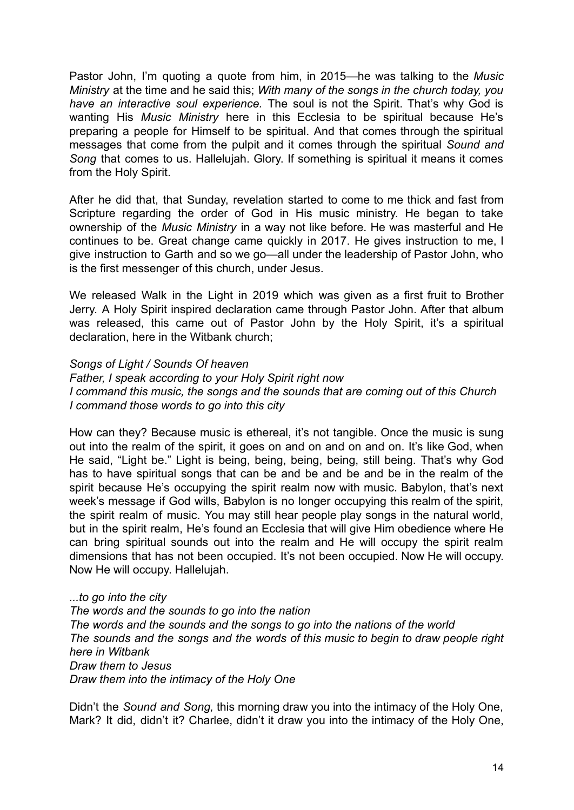Pastor John, I'm quoting a quote from him, in 2015—he was talking to the *Music Ministry* at the time and he said this; *With many of the songs in the church today, you have an interactive soul experience.* The soul is not the Spirit. That's why God is wanting His *Music Ministry* here in this Ecclesia to be spiritual because He's preparing a people for Himself to be spiritual. And that comes through the spiritual messages that come from the pulpit and it comes through the spiritual *Sound and Song* that comes to us. Hallelujah. Glory. If something is spiritual it means it comes from the Holy Spirit.

After he did that, that Sunday, revelation started to come to me thick and fast from Scripture regarding the order of God in His music ministry. He began to take ownership of the *Music Ministry* in a way not like before. He was masterful and He continues to be. Great change came quickly in 2017. He gives instruction to me, I give instruction to Garth and so we go—all under the leadership of Pastor John, who is the first messenger of this church, under Jesus.

We released Walk in the Light in 2019 which was given as a first fruit to Brother Jerry. A Holy Spirit inspired declaration came through Pastor John. After that album was released, this came out of Pastor John by the Holy Spirit, it's a spiritual declaration, here in the Witbank church;

#### *Songs of Light / Sounds Of heaven*

*Father, I speak according to your Holy Spirit right now I command this music, the songs and the sounds that are coming out of this Church I command those words to go into this city*

How can they? Because music is ethereal, it's not tangible. Once the music is sung out into the realm of the spirit, it goes on and on and on and on. It's like God, when He said, "Light be." Light is being, being, being, being, still being. That's why God has to have spiritual songs that can be and be and be and be in the realm of the spirit because He's occupying the spirit realm now with music. Babylon, that's next week's message if God wills, Babylon is no longer occupying this realm of the spirit, the spirit realm of music. You may still hear people play songs in the natural world, but in the spirit realm, He's found an Ecclesia that will give Him obedience where He can bring spiritual sounds out into the realm and He will occupy the spirit realm dimensions that has not been occupied. It's not been occupied. Now He will occupy. Now He will occupy. Hallelujah.

*...to go into the city The words and the sounds to go into the nation The words and the sounds and the songs to go into the nations of the world The sounds and the songs and the words of this music to begin to draw people right here in Witbank Draw them to Jesus Draw them into the intimacy of the Holy One*

Didn't the *Sound and Song,* this morning draw you into the intimacy of the Holy One, Mark? It did, didn't it? Charlee, didn't it draw you into the intimacy of the Holy One,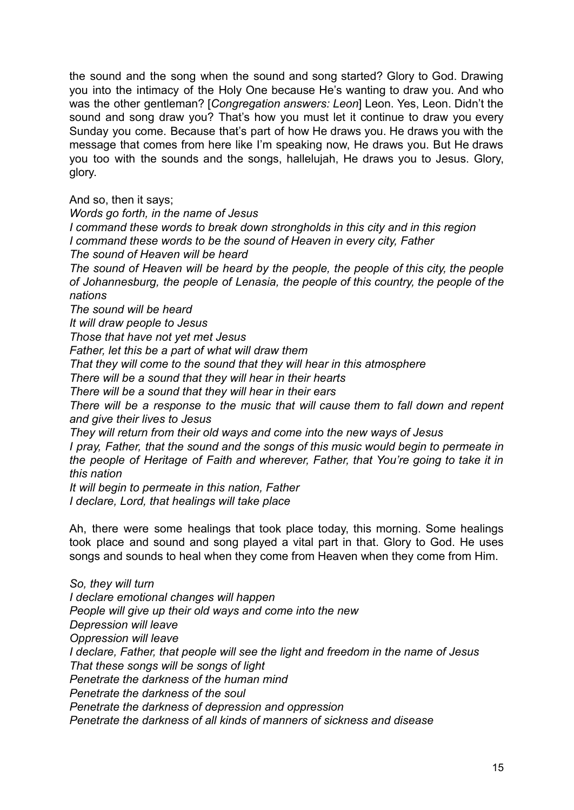the sound and the song when the sound and song started? Glory to God. Drawing you into the intimacy of the Holy One because He's wanting to draw you. And who was the other gentleman? [*Congregation answers: Leon*] Leon. Yes, Leon. Didn't the sound and song draw you? That's how you must let it continue to draw you every Sunday you come. Because that's part of how He draws you. He draws you with the message that comes from here like I'm speaking now, He draws you. But He draws you too with the sounds and the songs, hallelujah, He draws you to Jesus. Glory, glory.

And so, then it says;

*Words go forth, in the name of Jesus*

*I command these words to break down strongholds in this city and in this region I command these words to be the sound of Heaven in every city, Father*

*The sound of Heaven will be heard*

*The sound of Heaven will be heard by the people, the people of this city, the people of Johannesburg, the people of Lenasia, the people of this country, the people of the nations*

*The sound will be heard*

*It will draw people to Jesus*

*Those that have not yet met Jesus*

*Father, let this be a part of what will draw them*

*That they will come to the sound that they will hear in this atmosphere*

*There will be a sound that they will hear in their hearts*

*There will be a sound that they will hear in their ears*

*There will be a response to the music that will cause them to fall down and repent and give their lives to Jesus*

*They will return from their old ways and come into the new ways of Jesus*

*I pray, Father, that the sound and the songs of this music would begin to permeate in the people of Heritage of Faith and wherever, Father, that You're going to take it in this nation*

*It will begin to permeate in this nation, Father I declare, Lord, that healings will take place*

Ah, there were some healings that took place today, this morning. Some healings took place and sound and song played a vital part in that. Glory to God. He uses songs and sounds to heal when they come from Heaven when they come from Him.

*So, they will turn I declare emotional changes will happen People will give up their old ways and come into the new Depression will leave Oppression will leave I declare, Father, that people will see the light and freedom in the name of Jesus That these songs will be songs of light Penetrate the darkness of the human mind Penetrate the darkness of the soul Penetrate the darkness of depression and oppression Penetrate the darkness of all kinds of manners of sickness and disease*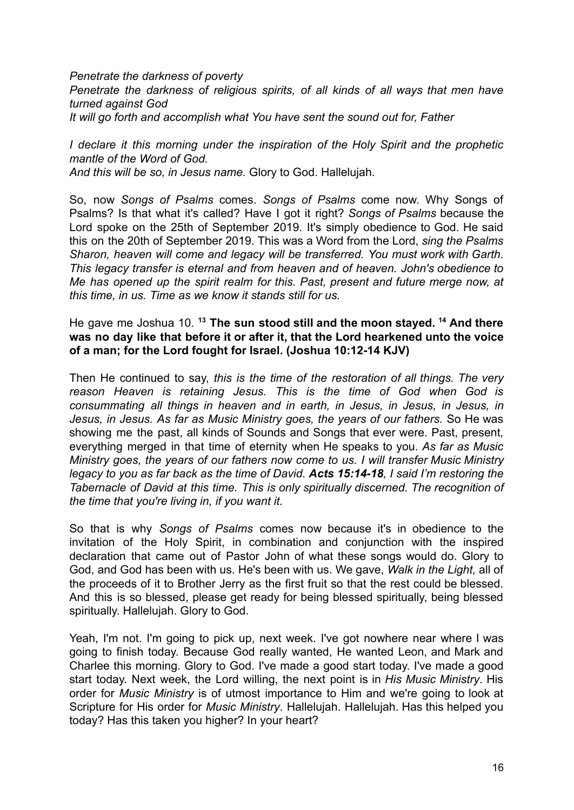*Penetrate the darkness of poverty Penetrate the darkness of religious spirits, of all kinds of all ways that men have turned against God It will go forth and accomplish what You have sent the sound out for, Father*

*I declare it this morning under the inspiration of the Holy Spirit and the prophetic mantle of the Word of God. And this will be so, in Jesus name.* Glory to God. Hallelujah.

So, now *Songs of Psalms* comes. *Songs of Psalms* come now. Why Songs of Psalms? Is that what it's called? Have I got it right? *Songs of Psalms* because the Lord spoke on the 25th of September 2019. It's simply obedience to God. He said this on the 20th of September 2019. This was a Word from the Lord, *sing the Psalms Sharon, heaven will come and legacy will be transferred. You must work with Garth. This legacy transfer is eternal and from heaven and of heaven. John's obedience to Me has opened up the spirit realm for this. Past, present and future merge now, at this time, in us. Time as we know it stands still for us.*

He gave me Joshua 10. **<sup>13</sup> The sun stood still and the moon stayed. <sup>14</sup> And there was no day like that before it or after it, that the Lord hearkened unto the voice of a man; for the Lord fought for Israel. (Joshua 10:12-14 KJV)**

Then He continued to say, *this is the time of the restoration of all things. The very reason Heaven is retaining Jesus. This is the time of God when God is consummating all things in heaven and in earth, in Jesus, in Jesus, in Jesus, in Jesus, in Jesus. As far as Music Ministry goes, the years of our fathers.* So He was showing me the past, all kinds of Sounds and Songs that ever were. Past, present*,* everything merged in that time of eternity when He speaks to you. *As far as Music Ministry goes, the years of our fathers now come to us. I will transfer Music Ministry legacy to you as far back as the time of David. Acts 15:14-18, I said I'm restoring the Tabernacle of David at this time. This is only spiritually discerned. The recognition of the time that you're living in, if you want it.*

So that is why *Songs of Psalms* comes now because it's in obedience to the invitation of the Holy Spirit, in combination and conjunction with the inspired declaration that came out of Pastor John of what these songs would do. Glory to God, and God has been with us. He's been with us. We gave, *Walk in the Light,* all of the proceeds of it to Brother Jerry as the first fruit so that the rest could be blessed. And this is so blessed, please get ready for being blessed spiritually, being blessed spiritually. Hallelujah. Glory to God.

Yeah, I'm not. I'm going to pick up, next week. I've got nowhere near where I was going to finish today. Because God really wanted, He wanted Leon, and Mark and Charlee this morning. Glory to God. I've made a good start today. I've made a good start today. Next week, the Lord willing, the next point is in *His Music Ministry*. His order for *Music Ministry* is of utmost importance to Him and we're going to look at Scripture for His order for *Music Ministry*. Hallelujah. Hallelujah. Has this helped you today? Has this taken you higher? In your heart?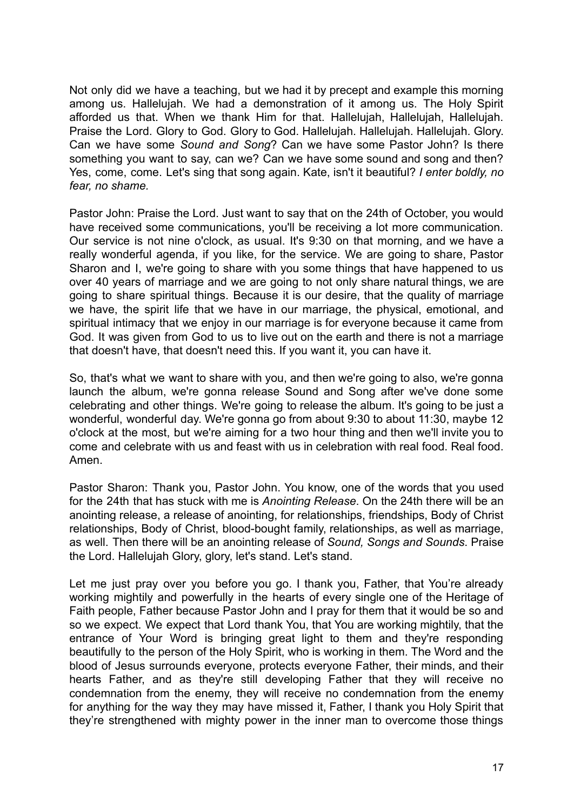Not only did we have a teaching, but we had it by precept and example this morning among us. Hallelujah. We had a demonstration of it among us. The Holy Spirit afforded us that. When we thank Him for that. Hallelujah, Hallelujah, Hallelujah. Praise the Lord. Glory to God. Glory to God. Hallelujah. Hallelujah. Hallelujah. Glory. Can we have some *Sound and Song*? Can we have some Pastor John? Is there something you want to say, can we? Can we have some sound and song and then? Yes, come, come. Let's sing that song again. Kate, isn't it beautiful? *I enter boldly, no fear, no shame.*

Pastor John: Praise the Lord. Just want to say that on the 24th of October, you would have received some communications, you'll be receiving a lot more communication. Our service is not nine o'clock, as usual. It's 9:30 on that morning, and we have a really wonderful agenda, if you like, for the service. We are going to share, Pastor Sharon and I, we're going to share with you some things that have happened to us over 40 years of marriage and we are going to not only share natural things, we are going to share spiritual things. Because it is our desire, that the quality of marriage we have, the spirit life that we have in our marriage, the physical, emotional, and spiritual intimacy that we enjoy in our marriage is for everyone because it came from God. It was given from God to us to live out on the earth and there is not a marriage that doesn't have, that doesn't need this. If you want it, you can have it.

So, that's what we want to share with you, and then we're going to also, we're gonna launch the album, we're gonna release Sound and Song after we've done some celebrating and other things. We're going to release the album. It's going to be just a wonderful, wonderful day. We're gonna go from about 9:30 to about 11:30, maybe 12 o'clock at the most, but we're aiming for a two hour thing and then we'll invite you to come and celebrate with us and feast with us in celebration with real food. Real food. Amen.

Pastor Sharon: Thank you, Pastor John. You know, one of the words that you used for the 24th that has stuck with me is *Anointing Release*. On the 24th there will be an anointing release, a release of anointing, for relationships, friendships, Body of Christ relationships, Body of Christ, blood-bought family, relationships, as well as marriage, as well. Then there will be an anointing release of *Sound, Songs and Sounds*. Praise the Lord. Hallelujah Glory, glory, let's stand. Let's stand.

Let me just pray over you before you go. I thank you, Father, that You're already working mightily and powerfully in the hearts of every single one of the Heritage of Faith people, Father because Pastor John and I pray for them that it would be so and so we expect. We expect that Lord thank You, that You are working mightily, that the entrance of Your Word is bringing great light to them and they're responding beautifully to the person of the Holy Spirit, who is working in them. The Word and the blood of Jesus surrounds everyone, protects everyone Father, their minds, and their hearts Father, and as they're still developing Father that they will receive no condemnation from the enemy, they will receive no condemnation from the enemy for anything for the way they may have missed it, Father, I thank you Holy Spirit that they're strengthened with mighty power in the inner man to overcome those things